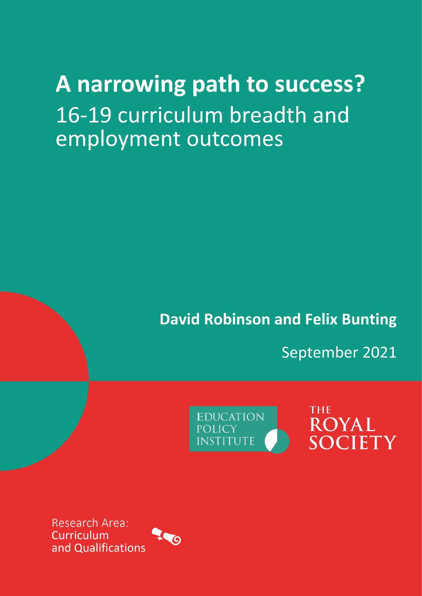# A narrowing path to success? 16-19 curriculum breadth and employment outcomes

**David Robinson and Felix Bunting** 

September 2021

**EDUCATION POLICY INSTITUTE** 

**THE ROYAL SOCIETY** 

Research Area: Curriculum and Qualifications

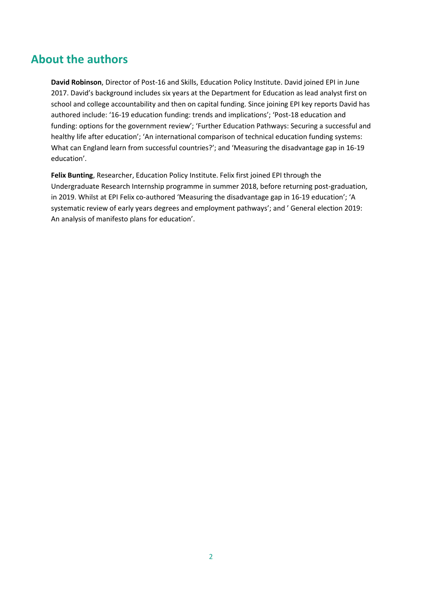### **About the authors**

**David Robinson**, Director of Post-16 and Skills, Education Policy Institute. David joined EPI in June 2017. David's background includes six years at the Department for Education as lead analyst first on school and college accountability and then on capital funding. Since joining EPI key reports David has authored include: '16-19 education funding: trends and implications'; 'Post-18 education and funding: options for the government review'; 'Further Education Pathways: Securing a successful and healthy life after education'; 'An international comparison of technical education funding systems: What can England learn from successful countries?'; and 'Measuring the disadvantage gap in 16-19 education'.

**Felix Bunting**, Researcher, Education Policy Institute. Felix first joined EPI through the Undergraduate Research Internship programme in summer 2018, before returning post-graduation, in 2019. Whilst at EPI Felix co-authored 'Measuring the disadvantage gap in 16-19 education'; 'A systematic review of early years degrees and employment pathways'; and ' General election 2019: An analysis of manifesto plans for education'.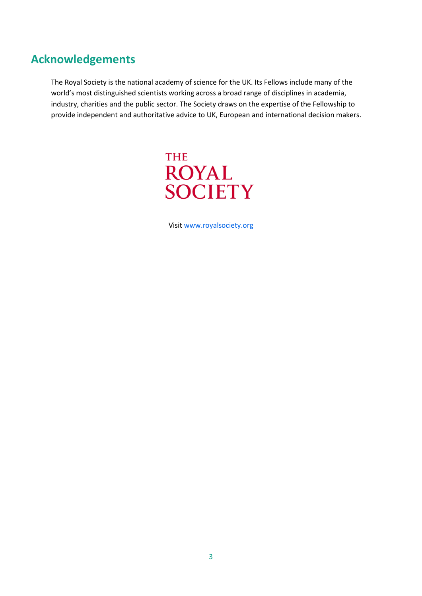# **Acknowledgements**

The Royal Society is the national academy of science for the UK. Its Fellows include many of the world's most distinguished scientists working across a broad range of disciplines in academia, industry, charities and the public sector. The Society draws on the expertise of the Fellowship to provide independent and authoritative advice to UK, European and international decision makers.



Visi[t www.royalsociety.org](http://www.royalsociety.org/)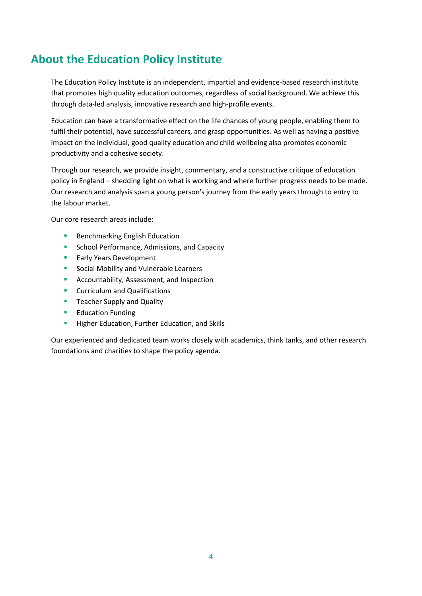# **About the Education Policy Institute**

The Education Policy Institute is an independent, impartial and evidence-based research institute that promotes high quality education outcomes, regardless of social background. We achieve this through data-led analysis, innovative research and high-profile events.

Education can have a transformative effect on the life chances of young people, enabling them to fulfil their potential, have successful careers, and grasp opportunities. As well as having a positive impact on the individual, good quality education and child wellbeing also promotes economic productivity and a cohesive society.

Through our research, we provide insight, commentary, and a constructive critique of education policy in England – shedding light on what is working and where further progress needs to be made. Our research and analysis span a young person's journey from the early years through to entry to the labour market.

Our core research areas include:

- Benchmarking English Education
- School Performance, Admissions, and Capacity
- Early Years Development
- Social Mobility and Vulnerable Learners
- Accountability, Assessment, and Inspection
- Curriculum and Qualifications
- **E** Teacher Supply and Quality
- Education Funding
- Higher Education, Further Education, and Skills

Our experienced and dedicated team works closely with academics, think tanks, and other research foundations and charities to shape the policy agenda.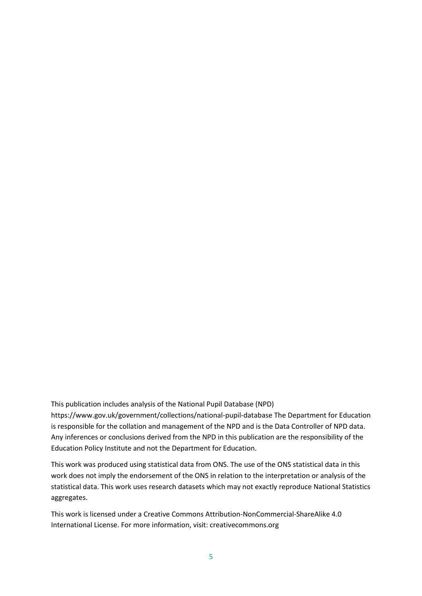This publication includes analysis of the National Pupil Database (NPD) https://www.gov.uk/government/collections/national-pupil-database The Department for Education is responsible for the collation and management of the NPD and is the Data Controller of NPD data. Any inferences or conclusions derived from the NPD in this publication are the responsibility of the Education Policy Institute and not the Department for Education.

This work was produced using statistical data from ONS. The use of the ONS statistical data in this work does not imply the endorsement of the ONS in relation to the interpretation or analysis of the statistical data. This work uses research datasets which may not exactly reproduce National Statistics aggregates.

This work is licensed under a Creative Commons Attribution-NonCommercial-ShareAlike 4.0 International License. For more information, visit: creativecommons.org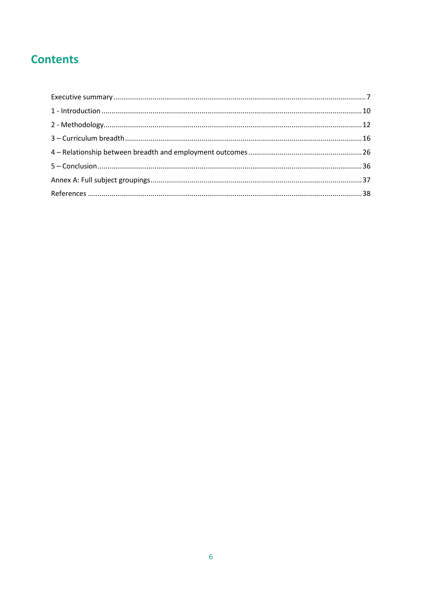# **Contents**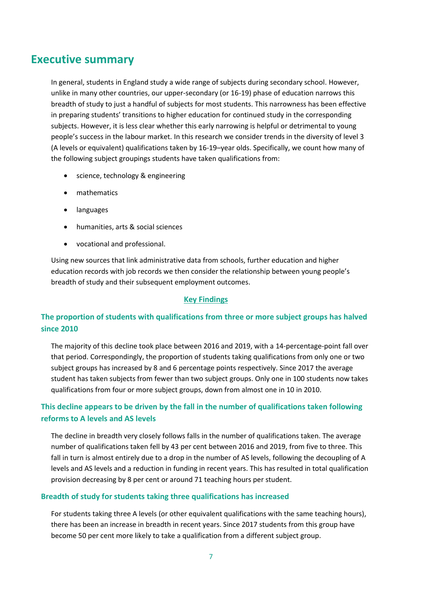### <span id="page-6-0"></span>**Executive summary**

In general, students in England study a wide range of subjects during secondary school. However, unlike in many other countries, our upper-secondary (or 16-19) phase of education narrows this breadth of study to just a handful of subjects for most students. This narrowness has been effective in preparing students' transitions to higher education for continued study in the corresponding subjects. However, it is less clear whether this early narrowing is helpful or detrimental to young people's success in the labour market. In this research we consider trends in the diversity of level 3 (A levels or equivalent) qualifications taken by 16-19–year olds. Specifically, we count how many of the following subject groupings students have taken qualifications from:

- science, technology & engineering
- mathematics
- languages
- humanities, arts & social sciences
- vocational and professional.

Using new sources that link administrative data from schools, further education and higher education records with job records we then consider the relationship between young people's breadth of study and their subsequent employment outcomes.

#### **Key Findings**

### **The proportion of students with qualifications from three or more subject groups has halved since 2010**

The majority of this decline took place between 2016 and 2019, with a 14-percentage-point fall over that period. Correspondingly, the proportion of students taking qualifications from only one or two subject groups has increased by 8 and 6 percentage points respectively. Since 2017 the average student has taken subjects from fewer than two subject groups. Only one in 100 students now takes qualifications from four or more subject groups, down from almost one in 10 in 2010.

### **This decline appears to be driven by the fall in the number of qualifications taken following reforms to A levels and AS levels**

The decline in breadth very closely follows falls in the number of qualifications taken. The average number of qualifications taken fell by 43 per cent between 2016 and 2019, from five to three. This fall in turn is almost entirely due to a drop in the number of AS levels, following the decoupling of A levels and AS levels and a reduction in funding in recent years. This has resulted in total qualification provision decreasing by 8 per cent or around 71 teaching hours per student.

#### **Breadth of study for students taking three qualifications has increased**

For students taking three A levels (or other equivalent qualifications with the same teaching hours), there has been an increase in breadth in recent years. Since 2017 students from this group have become 50 per cent more likely to take a qualification from a different subject group.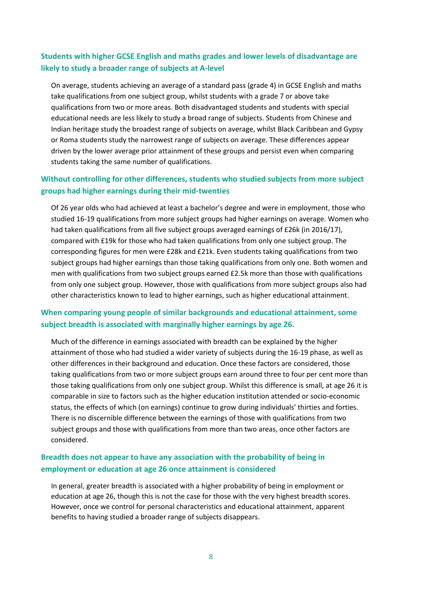### **Students with higher GCSE English and maths grades and lower levels of disadvantage are likely to study a broader range of subjects at A-level**

On average, students achieving an average of a standard pass (grade 4) in GCSE English and maths take qualifications from one subject group, whilst students with a grade 7 or above take qualifications from two or more areas. Both disadvantaged students and students with special educational needs are less likely to study a broad range of subjects. Students from Chinese and Indian heritage study the broadest range of subjects on average, whilst Black Caribbean and Gypsy or Roma students study the narrowest range of subjects on average. These differences appear driven by the lower average prior attainment of these groups and persist even when comparing students taking the same number of qualifications.

### **Without controlling for other differences, students who studied subjects from more subject groups had higher earnings during their mid-twenties**

Of 26 year olds who had achieved at least a bachelor's degree and were in employment, those who studied 16-19 qualifications from more subject groups had higher earnings on average. Women who had taken qualifications from all five subject groups averaged earnings of £26k (in 2016/17), compared with £19k for those who had taken qualifications from only one subject group. The corresponding figures for men were £28k and £21k. Even students taking qualifications from two subject groups had higher earnings than those taking qualifications from only one. Both women and men with qualifications from two subject groups earned £2.5k more than those with qualifications from only one subject group. However, those with qualifications from more subject groups also had other characteristics known to lead to higher earnings, such as higher educational attainment.

### **When comparing young people of similar backgrounds and educational attainment, some subject breadth is associated with marginally higher earnings by age 26.**

Much of the difference in earnings associated with breadth can be explained by the higher attainment of those who had studied a wider variety of subjects during the 16-19 phase, as well as other differences in their background and education. Once these factors are considered, those taking qualifications from two or more subject groups earn around three to four per cent more than those taking qualifications from only one subject group. Whilst this difference is small, at age 26 it is comparable in size to factors such as the higher education institution attended or socio-economic status, the effects of which (on earnings) continue to grow during individuals' thirties and forties. There is no discernible difference between the earnings of those with qualifications from two subject groups and those with qualifications from more than two areas, once other factors are considered.

### **Breadth does not appear to have any association with the probability of being in employment or education at age 26 once attainment is considered**

In general, greater breadth is associated with a higher probability of being in employment or education at age 26, though this is not the case for those with the very highest breadth scores. However, once we control for personal characteristics and educational attainment, apparent benefits to having studied a broader range of subjects disappears.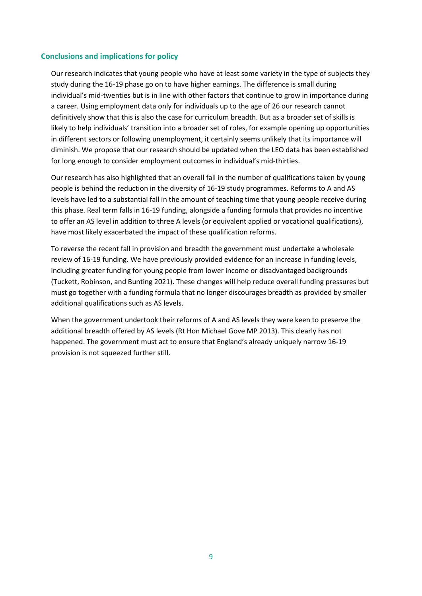#### **Conclusions and implications for policy**

Our research indicates that young people who have at least some variety in the type of subjects they study during the 16-19 phase go on to have higher earnings. The difference is small during individual's mid-twenties but is in line with other factors that continue to grow in importance during a career. Using employment data only for individuals up to the age of 26 our research cannot definitively show that this is also the case for curriculum breadth. But as a broader set of skills is likely to help individuals' transition into a broader set of roles, for example opening up opportunities in different sectors or following unemployment, it certainly seems unlikely that its importance will diminish. We propose that our research should be updated when the LEO data has been established for long enough to consider employment outcomes in individual's mid-thirties.

Our research has also highlighted that an overall fall in the number of qualifications taken by young people is behind the reduction in the diversity of 16-19 study programmes. Reforms to A and AS levels have led to a substantial fall in the amount of teaching time that young people receive during this phase. Real term falls in 16-19 funding, alongside a funding formula that provides no incentive to offer an AS level in addition to three A levels (or equivalent applied or vocational qualifications), have most likely exacerbated the impact of these qualification reforms.

To reverse the recent fall in provision and breadth the government must undertake a wholesale review of 16-19 funding. We have previously provided evidence for an increase in funding levels, including greater funding for young people from lower income or disadvantaged backgrounds (Tuckett, Robinson, and Bunting 2021). These changes will help reduce overall funding pressures but must go together with a funding formula that no longer discourages breadth as provided by smaller additional qualifications such as AS levels.

When the government undertook their reforms of A and AS levels they were keen to preserve the additional breadth offered by AS levels (Rt Hon Michael Gove MP 2013). This clearly has not happened. The government must act to ensure that England's already uniquely narrow 16-19 provision is not squeezed further still.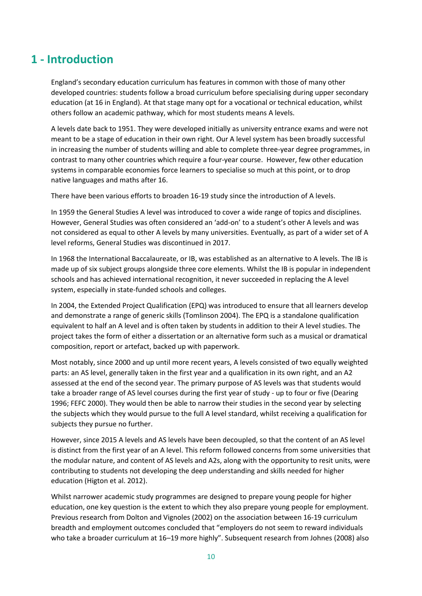### <span id="page-9-0"></span>**1 - Introduction**

England's secondary education curriculum has features in common with those of many other developed countries: students follow a broad curriculum before specialising during upper secondary education (at 16 in England). At that stage many opt for a vocational or technical education, whilst others follow an academic pathway, which for most students means A levels.

A levels date back to 1951. They were developed initially as university entrance exams and were not meant to be a stage of education in their own right. Our A level system has been broadly successful in increasing the number of students willing and able to complete three-year degree programmes, in contrast to many other countries which require a four-year course. However, few other education systems in comparable economies force learners to specialise so much at this point, or to drop native languages and maths after 16.

There have been various efforts to broaden 16-19 study since the introduction of A levels.

In 1959 the General Studies A level was introduced to cover a wide range of topics and disciplines. However, General Studies was often considered an 'add-on' to a student's other A levels and was not considered as equal to other A levels by many universities. Eventually, as part of a wider set of A level reforms, General Studies was discontinued in 2017.

In 1968 the International Baccalaureate, or IB, was established as an alternative to A levels. The IB is made up of six subject groups alongside three core elements. Whilst the IB is popular in independent schools and has achieved international recognition, it never succeeded in replacing the A level system, especially in state-funded schools and colleges.

In 2004, the Extended Project Qualification (EPQ) was introduced to ensure that all learners develop and demonstrate a range of generic skills (Tomlinson 2004). The EPQ is a standalone qualification equivalent to half an A level and is often taken by students in addition to their A level studies. The project takes the form of either a dissertation or an alternative form such as a musical or dramatical composition, report or artefact, backed up with paperwork.

Most notably, since 2000 and up until more recent years, A levels consisted of two equally weighted parts: an AS level, generally taken in the first year and a qualification in its own right, and an A2 assessed at the end of the second year. The primary purpose of AS levels was that students would take a broader range of AS level courses during the first year of study - up to four or five (Dearing 1996; FEFC 2000). They would then be able to narrow their studies in the second year by selecting the subjects which they would pursue to the full A level standard, whilst receiving a qualification for subjects they pursue no further.

However, since 2015 A levels and AS levels have been decoupled, so that the content of an AS level is distinct from the first year of an A level. This reform followed concerns from some universities that the modular nature, and content of AS levels and A2s, along with the opportunity to resit units, were contributing to students not developing the deep understanding and skills needed for higher education (Higton et al. 2012).

Whilst narrower academic study programmes are designed to prepare young people for higher education, one key question is the extent to which they also prepare young people for employment. Previous research from Dolton and Vignoles (2002) on the association between 16-19 curriculum breadth and employment outcomes concluded that "employers do not seem to reward individuals who take a broader curriculum at 16–19 more highly". Subsequent research from Johnes (2008) also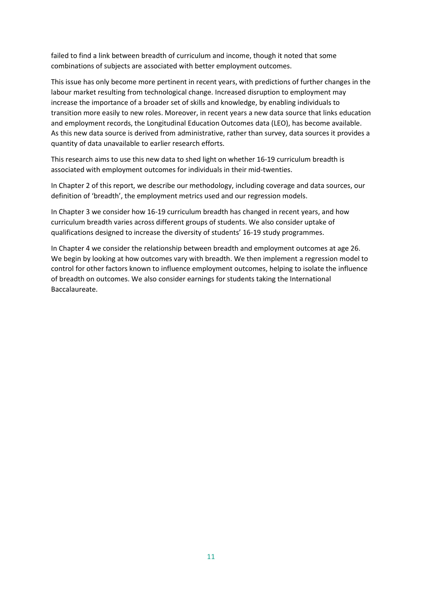failed to find a link between breadth of curriculum and income, though it noted that some combinations of subjects are associated with better employment outcomes.

This issue has only become more pertinent in recent years, with predictions of further changes in the labour market resulting from technological change. Increased disruption to employment may increase the importance of a broader set of skills and knowledge, by enabling individuals to transition more easily to new roles. Moreover, in recent years a new data source that links education and employment records, the Longitudinal Education Outcomes data (LEO), has become available. As this new data source is derived from administrative, rather than survey, data sources it provides a quantity of data unavailable to earlier research efforts.

This research aims to use this new data to shed light on whether 16-19 curriculum breadth is associated with employment outcomes for individuals in their mid-twenties.

In Chapter 2 of this report, we describe our methodology, including coverage and data sources, our definition of 'breadth', the employment metrics used and our regression models.

In Chapter 3 we consider how 16-19 curriculum breadth has changed in recent years, and how curriculum breadth varies across different groups of students. We also consider uptake of qualifications designed to increase the diversity of students' 16-19 study programmes.

In Chapter 4 we consider the relationship between breadth and employment outcomes at age 26. We begin by looking at how outcomes vary with breadth. We then implement a regression model to control for other factors known to influence employment outcomes, helping to isolate the influence of breadth on outcomes. We also consider earnings for students taking the International Baccalaureate.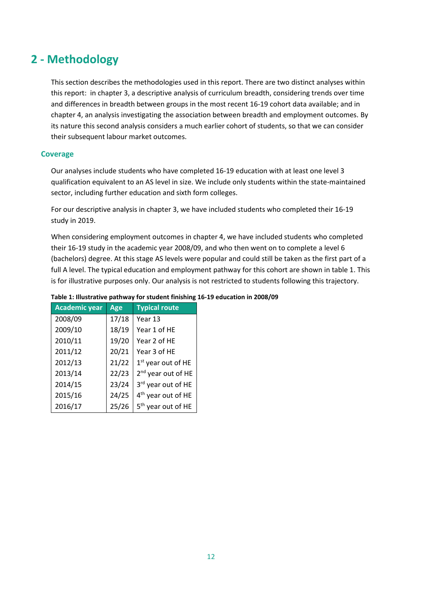## <span id="page-11-0"></span>**2 - Methodology**

This section describes the methodologies used in this report. There are two distinct analyses within this report: in chapter 3, a descriptive analysis of curriculum breadth, considering trends over time and differences in breadth between groups in the most recent 16-19 cohort data available; and in chapter 4, an analysis investigating the association between breadth and employment outcomes. By its nature this second analysis considers a much earlier cohort of students, so that we can consider their subsequent labour market outcomes.

#### **Coverage**

Our analyses include students who have completed 16-19 education with at least one level 3 qualification equivalent to an AS level in size. We include only students within the state-maintained sector, including further education and sixth form colleges.

For our descriptive analysis in chapter 3, we have included students who completed their 16-19 study in 2019.

When considering employment outcomes in chapter 4, we have included students who completed their 16-19 study in the academic year 2008/09, and who then went on to complete a level 6 (bachelors) degree. At this stage AS levels were popular and could still be taken as the first part of a full A level. The typical education and employment pathway for this cohort are shown in table 1. This is for illustrative purposes only. Our analysis is not restricted to students following this trajectory.

| <b>Academic year</b> | Age   | <b>Typical route</b>           |
|----------------------|-------|--------------------------------|
| 2008/09              | 17/18 | Year 13                        |
| 2009/10              | 18/19 | Year 1 of HE                   |
| 2010/11              | 19/20 | Year 2 of HE                   |
| 2011/12              | 20/21 | Year 3 of HE                   |
| 2012/13              | 21/22 | 1st year out of HE             |
| 2013/14              | 22/23 | 2 <sup>nd</sup> year out of HE |
| 2014/15              | 23/24 | 3rd year out of HE             |
| 2015/16              | 24/25 | 4 <sup>th</sup> year out of HE |
| 2016/17              | 25/26 | 5 <sup>th</sup> year out of HE |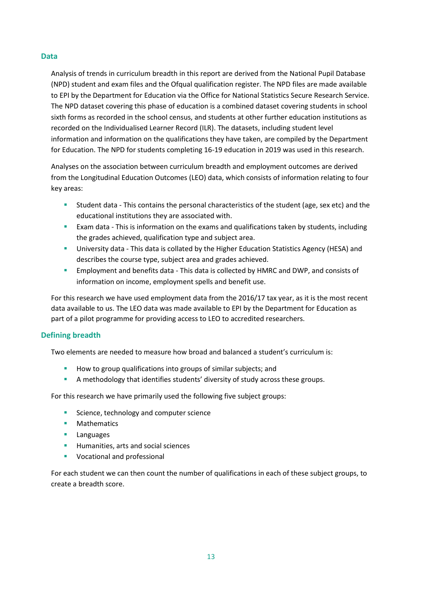#### **Data**

Analysis of trends in curriculum breadth in this report are derived from the National Pupil Database (NPD) student and exam files and the Ofqual qualification register. The NPD files are made available to EPI by the Department for Education via the Office for National Statistics Secure Research Service. The NPD dataset covering this phase of education is a combined dataset covering students in school sixth forms as recorded in the school census, and students at other further education institutions as recorded on the Individualised Learner Record (ILR). The datasets, including student level information and information on the qualifications they have taken, are compiled by the Department for Education. The NPD for students completing 16-19 education in 2019 was used in this research.

Analyses on the association between curriculum breadth and employment outcomes are derived from the Longitudinal Education Outcomes (LEO) data, which consists of information relating to four key areas:

- Student data This contains the personal characteristics of the student (age, sex etc) and the educational institutions they are associated with.
- **EXAM** data This is information on the exams and qualifications taken by students, including the grades achieved, qualification type and subject area.
- **E** University data This data is collated by the Higher Education Statistics Agency (HESA) and describes the course type, subject area and grades achieved.
- Employment and benefits data This data is collected by HMRC and DWP, and consists of information on income, employment spells and benefit use.

For this research we have used employment data from the 2016/17 tax year, as it is the most recent data available to us. The LEO data was made available to EPI by the Department for Education as part of a pilot programme for providing access to LEO to accredited researchers.

#### **Defining breadth**

Two elements are needed to measure how broad and balanced a student's curriculum is:

- How to group qualifications into groups of similar subjects; and
- A methodology that identifies students' diversity of study across these groups.

For this research we have primarily used the following five subject groups:

- Science, technology and computer science
- Mathematics
- Languages
- Humanities, arts and social sciences
- Vocational and professional

For each student we can then count the number of qualifications in each of these subject groups, to create a breadth score.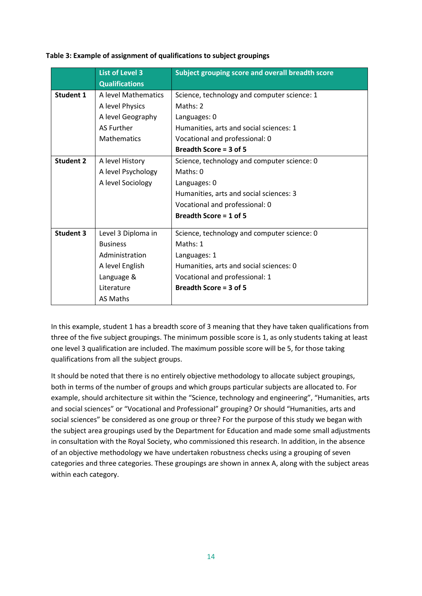|                  | <b>List of Level 3</b> | Subject grouping score and overall breadth score |
|------------------|------------------------|--------------------------------------------------|
|                  | <b>Qualifications</b>  |                                                  |
| <b>Student 1</b> | A level Mathematics    | Science, technology and computer science: 1      |
|                  | A level Physics        | Maths: $2$                                       |
|                  | A level Geography      | Languages: 0                                     |
|                  | <b>AS Further</b>      | Humanities, arts and social sciences: 1          |
|                  | <b>Mathematics</b>     | Vocational and professional: 0                   |
|                  |                        | Breadth Score = 3 of 5                           |
| <b>Student 2</b> | A level History        | Science, technology and computer science: 0      |
|                  | A level Psychology     | Maths: $0$                                       |
|                  | A level Sociology      | Languages: 0                                     |
|                  |                        | Humanities, arts and social sciences: 3          |
|                  |                        | Vocational and professional: 0                   |
|                  |                        | Breadth Score = $1$ of 5                         |
| <b>Student 3</b> | Level 3 Diploma in     | Science, technology and computer science: 0      |
|                  | <b>Business</b>        | Maths: 1                                         |
|                  | Administration         | Languages: 1                                     |
|                  | A level English        | Humanities, arts and social sciences: 0          |
|                  | Language &             | Vocational and professional: 1                   |
|                  | Literature             | Breadth Score = 3 of 5                           |
|                  | <b>AS Maths</b>        |                                                  |

#### **Table 3: Example of assignment of qualifications to subject groupings**

In this example, student 1 has a breadth score of 3 meaning that they have taken qualifications from three of the five subject groupings. The minimum possible score is 1, as only students taking at least one level 3 qualification are included. The maximum possible score will be 5, for those taking qualifications from all the subject groups.

It should be noted that there is no entirely objective methodology to allocate subject groupings, both in terms of the number of groups and which groups particular subjects are allocated to. For example, should architecture sit within the "Science, technology and engineering", "Humanities, arts and social sciences" or "Vocational and Professional" grouping? Or should "Humanities, arts and social sciences" be considered as one group or three? For the purpose of this study we began with the subject area groupings used by the Department for Education and made some small adjustments in consultation with the Royal Society, who commissioned this research. In addition, in the absence of an objective methodology we have undertaken robustness checks using a grouping of seven categories and three categories. These groupings are shown in annex A, along with the subject areas within each category.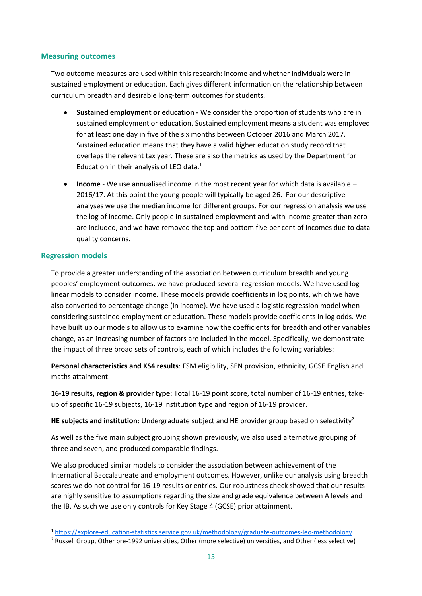#### **Measuring outcomes**

Two outcome measures are used within this research: income and whether individuals were in sustained employment or education. Each gives different information on the relationship between curriculum breadth and desirable long-term outcomes for students.

- **Sustained employment or education -** We consider the proportion of students who are in sustained employment or education. Sustained employment means a student was employed for at least one day in five of the six months between October 2016 and March 2017. Sustained education means that they have a valid higher education study record that overlaps the relevant tax year. These are also the metrics as used by the Department for Education in their analysis of LEO data. $1$
- **Income** We use annualised income in the most recent year for which data is available 2016/17. At this point the young people will typically be aged 26. For our descriptive analyses we use the median income for different groups. For our regression analysis we use the log of income. Only people in sustained employment and with income greater than zero are included, and we have removed the top and bottom five per cent of incomes due to data quality concerns.

#### **Regression models**

To provide a greater understanding of the association between curriculum breadth and young peoples' employment outcomes, we have produced several regression models. We have used loglinear models to consider income. These models provide coefficients in log points, which we have also converted to percentage change (in income). We have used a logistic regression model when considering sustained employment or education. These models provide coefficients in log odds. We have built up our models to allow us to examine how the coefficients for breadth and other variables change, as an increasing number of factors are included in the model. Specifically, we demonstrate the impact of three broad sets of controls, each of which includes the following variables:

**Personal characteristics and KS4 results**: FSM eligibility, SEN provision, ethnicity, GCSE English and maths attainment.

**16-19 results, region & provider type**: Total 16-19 point score, total number of 16-19 entries, takeup of specific 16-19 subjects, 16-19 institution type and region of 16-19 provider.

**HE subjects and institution:** Undergraduate subject and HE provider group based on selectivity<sup>2</sup>

As well as the five main subject grouping shown previously, we also used alternative grouping of three and seven, and produced comparable findings.

We also produced similar models to consider the association between achievement of the International Baccalaureate and employment outcomes. However, unlike our analysis using breadth scores we do not control for 16-19 results or entries. Our robustness check showed that our results are highly sensitive to assumptions regarding the size and grade equivalence between A levels and the IB. As such we use only controls for Key Stage 4 (GCSE) prior attainment.

<sup>1</sup> <https://explore-education-statistics.service.gov.uk/methodology/graduate-outcomes-leo-methodology>

<sup>2</sup> Russell Group, Other pre-1992 universities, Other (more selective) universities, and Other (less selective)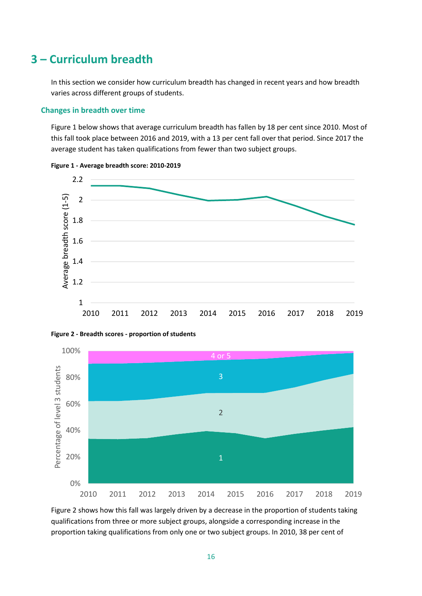### <span id="page-15-0"></span>**3 – Curriculum breadth**

In this section we consider how curriculum breadth has changed in recent years and how breadth varies across different groups of students.

#### **Changes in breadth over time**

[Figure 1](#page-15-1) below shows that average curriculum breadth has fallen by 18 per cent since 2010. Most of this fall took place between 2016 and 2019, with a 13 per cent fall over that period. Since 2017 the average student has taken qualifications from fewer than two subject groups.



<span id="page-15-1"></span>



<span id="page-15-2"></span>**Figure 2 - Breadth scores - proportion of students**

[Figure 2](#page-15-2) shows how this fall was largely driven by a decrease in the proportion of students taking qualifications from three or more subject groups, alongside a corresponding increase in the proportion taking qualifications from only one or two subject groups. In 2010, 38 per cent of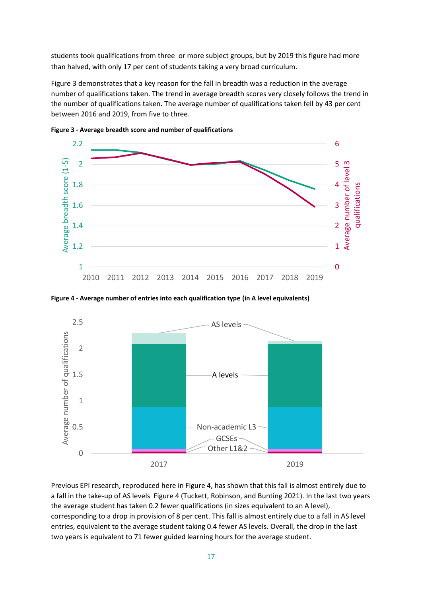students took qualifications from three or more subject groups, but by 2019 this figure had more than halved, with only 17 per cent of students taking a very broad curriculum.

[Figure 3](#page-16-0) demonstrates that a key reason for the fall in breadth was a reduction in the average number of qualifications taken. The trend in average breadth scores very closely follows the trend in the number of qualifications taken. The average number of qualifications taken fell by 43 per cent between 2016 and 2019, from five to three.



<span id="page-16-0"></span>**Figure 3 - Average breadth score and number of qualifications**

<span id="page-16-1"></span>**Figure 4 - Average number of entries into each qualification type (in A level equivalents)**



Previous EPI research, reproduced here in Figure 4, has shown that this fall is almost entirely due to a fall in the take-up of AS levels [Figure 4](#page-16-1) (Tuckett, Robinson, and Bunting 2021). In the last two years the average student has taken 0.2 fewer qualifications (in sizes equivalent to an A level), corresponding to a drop in provision of 8 per cent. This fall is almost entirely due to a fall in AS level entries, equivalent to the average student taking 0.4 fewer AS levels. Overall, the drop in the last two years is equivalent to 71 fewer guided learning hours for the average student.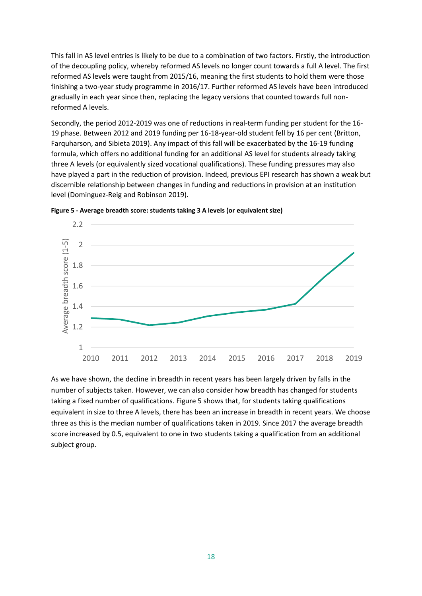This fall in AS level entries is likely to be due to a combination of two factors. Firstly, the introduction of the decoupling policy, whereby reformed AS levels no longer count towards a full A level. The first reformed AS levels were taught from 2015/16, meaning the first students to hold them were those finishing a two-year study programme in 2016/17. Further reformed AS levels have been introduced gradually in each year since then, replacing the legacy versions that counted towards full nonreformed A levels.

Secondly, the period 2012-2019 was one of reductions in real-term funding per student for the 16- 19 phase. Between 2012 and 2019 funding per 16-18-year-old student fell by 16 per cent (Britton, Farquharson, and Sibieta 2019). Any impact of this fall will be exacerbated by the 16-19 funding formula, which offers no additional funding for an additional AS level for students already taking three A levels (or equivalently sized vocational qualifications). These funding pressures may also have played a part in the reduction of provision. Indeed, previous EPI research has shown a weak but discernible relationship between changes in funding and reductions in provision at an institution level (Dominguez-Reig and Robinson 2019).



<span id="page-17-0"></span>**Figure 5 - Average breadth score: students taking 3 A levels (or equivalent size)**

As we have shown, the decline in breadth in recent years has been largely driven by falls in the number of subjects taken. However, we can also consider how breadth has changed for students taking a fixed number of qualifications[. Figure 5](#page-17-0) shows that, for students taking qualifications equivalent in size to three A levels, there has been an increase in breadth in recent years. We choose three as this is the median number of qualifications taken in 2019. Since 2017 the average breadth score increased by 0.5, equivalent to one in two students taking a qualification from an additional subject group.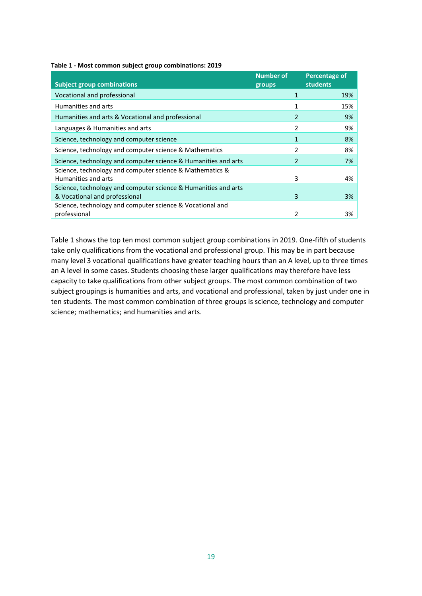<span id="page-18-0"></span>

|  |  |  | Table 1 - Most common subject group combinations: 2019 |  |
|--|--|--|--------------------------------------------------------|--|
|--|--|--|--------------------------------------------------------|--|

| <b>Number of</b><br>groups | <b>Percentage of</b><br><b>students</b> |
|----------------------------|-----------------------------------------|
|                            | 19%                                     |
|                            | 15%                                     |
| $\overline{2}$             | 9%                                      |
| $\overline{2}$             | 9%                                      |
| 1                          | 8%                                      |
| 2                          | 8%                                      |
| 2                          | 7%                                      |
| 3                          | 4%                                      |
|                            |                                         |
| 3                          | 3%                                      |
| 2                          | 3%                                      |
|                            |                                         |

[Table 1](#page-18-0) shows the top ten most common subject group combinations in 2019. One-fifth of students take only qualifications from the vocational and professional group. This may be in part because many level 3 vocational qualifications have greater teaching hours than an A level, up to three times an A level in some cases. Students choosing these larger qualifications may therefore have less capacity to take qualifications from other subject groups. The most common combination of two subject groupings is humanities and arts, and vocational and professional, taken by just under one in ten students. The most common combination of three groups is science, technology and computer science; mathematics; and humanities and arts.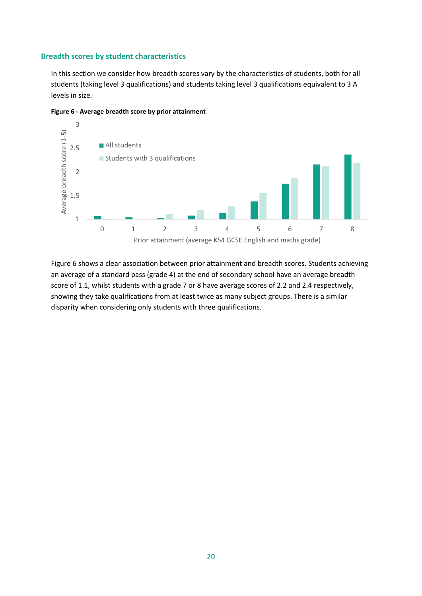#### **Breadth scores by student characteristics**

In this section we consider how breadth scores vary by the characteristics of students, both for all students (taking level 3 qualifications) and students taking level 3 qualifications equivalent to 3 A levels in size.



<span id="page-19-0"></span>**Figure 6 - Average breadth score by prior attainment**

[Figure 6](#page-19-0) shows a clear association between prior attainment and breadth scores. Students achieving an average of a standard pass (grade 4) at the end of secondary school have an average breadth score of 1.1, whilst students with a grade 7 or 8 have average scores of 2.2 and 2.4 respectively, showing they take qualifications from at least twice as many subject groups. There is a similar disparity when considering only students with three qualifications.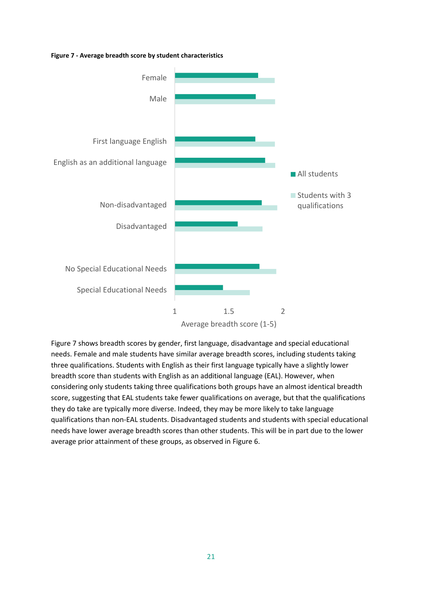#### <span id="page-20-0"></span>**Figure 7 - Average breadth score by student characteristics**



[Figure 7](#page-20-0) shows breadth scores by gender, first language, disadvantage and special educational needs. Female and male students have similar average breadth scores, including students taking three qualifications. Students with English as their first language typically have a slightly lower breadth score than students with English as an additional language (EAL). However, when considering only students taking three qualifications both groups have an almost identical breadth score, suggesting that EAL students take fewer qualifications on average, but that the qualifications they do take are typically more diverse. Indeed, they may be more likely to take language qualifications than non-EAL students. Disadvantaged students and students with special educational needs have lower average breadth scores than other students. This will be in part due to the lower average prior attainment of these groups, as observed in [Figure 6.](#page-19-0)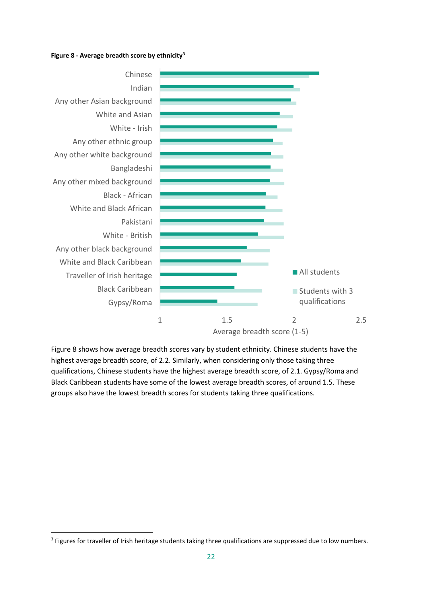#### <span id="page-21-0"></span>**Figure 8 - Average breadth score by ethnicity<sup>3</sup>**



[Figure 8](#page-21-0) shows how average breadth scores vary by student ethnicity. Chinese students have the highest average breadth score, of 2.2. Similarly, when considering only those taking three qualifications, Chinese students have the highest average breadth score, of 2.1. Gypsy/Roma and Black Caribbean students have some of the lowest average breadth scores, of around 1.5. These groups also have the lowest breadth scores for students taking three qualifications.

<sup>&</sup>lt;sup>3</sup> Figures for traveller of Irish heritage students taking three qualifications are suppressed due to low numbers.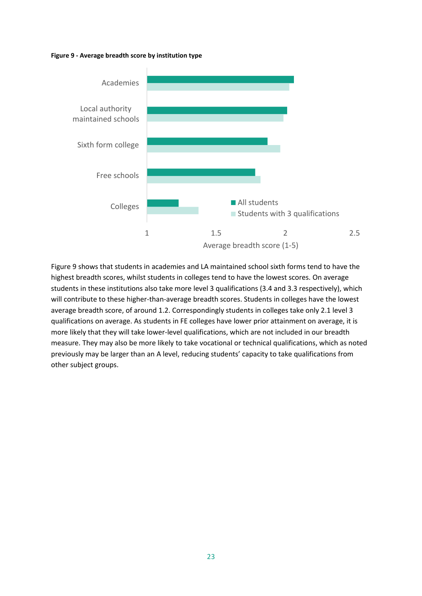#### <span id="page-22-0"></span>**Figure 9 - Average breadth score by institution type**



[Figure 9](#page-22-0) shows that students in academies and LA maintained school sixth forms tend to have the highest breadth scores, whilst students in colleges tend to have the lowest scores. On average students in these institutions also take more level 3 qualifications (3.4 and 3.3 respectively), which will contribute to these higher-than-average breadth scores. Students in colleges have the lowest average breadth score, of around 1.2. Correspondingly students in colleges take only 2.1 level 3 qualifications on average. As students in FE colleges have lower prior attainment on average, it is more likely that they will take lower-level qualifications, which are not included in our breadth measure. They may also be more likely to take vocational or technical qualifications, which as noted previously may be larger than an A level, reducing students' capacity to take qualifications from other subject groups.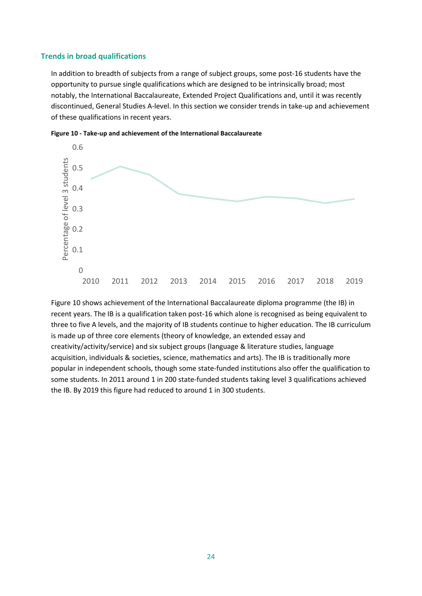#### **Trends in broad qualifications**

In addition to breadth of subjects from a range of subject groups, some post-16 students have the opportunity to pursue single qualifications which are designed to be intrinsically broad; most notably, the International Baccalaureate, Extended Project Qualifications and, until it was recently discontinued, General Studies A-level. In this section we consider trends in take-up and achievement of these qualifications in recent years.



<span id="page-23-0"></span>

[Figure 10](#page-23-0) shows achievement of the International Baccalaureate diploma programme (the IB) in recent years. The IB is a qualification taken post-16 which alone is recognised as being equivalent to three to five A levels, and the majority of IB students continue to higher education. The IB curriculum is made up of three core elements (theory of knowledge, an extended essay and creativity/activity/service) and six subject groups (language & literature studies, language acquisition, individuals & societies, science, mathematics and arts). The IB is traditionally more popular in independent schools, though some state-funded institutions also offer the qualification to some students. In 2011 around 1 in 200 state-funded students taking level 3 qualifications achieved the IB. By 2019 this figure had reduced to around 1 in 300 students.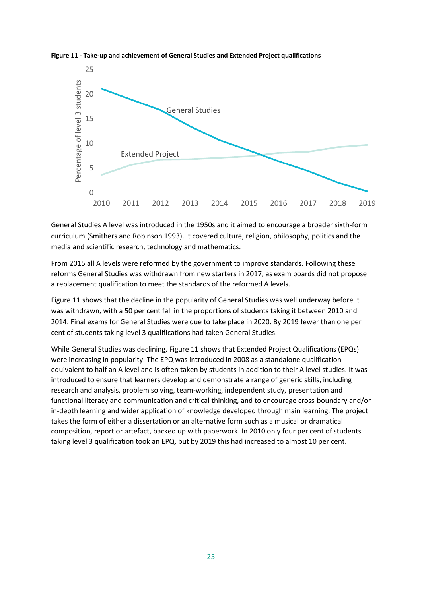

<span id="page-24-0"></span>**Figure 11 - Take-up and achievement of General Studies and Extended Project qualifications**

General Studies A level was introduced in the 1950s and it aimed to encourage a broader sixth-form curriculum (Smithers and Robinson 1993). It covered culture, religion, philosophy, politics and the media and scientific research, technology and mathematics.

From 2015 all A levels were reformed by the government to improve standards. Following these reforms General Studies was withdrawn from new starters in 2017, as exam boards did not propose a replacement qualification to meet the standards of the reformed A levels.

[Figure 11](#page-24-0) shows that the decline in the popularity of General Studies was well underway before it was withdrawn, with a 50 per cent fall in the proportions of students taking it between 2010 and 2014. Final exams for General Studies were due to take place in 2020. By 2019 fewer than one per cent of students taking level 3 qualifications had taken General Studies.

While General Studies was declining, [Figure 11](#page-24-0) shows that Extended Project Qualifications (EPQs) were increasing in popularity. The EPQ was introduced in 2008 as a standalone qualification equivalent to half an A level and is often taken by students in addition to their A level studies. It was introduced to ensure that learners develop and demonstrate a range of generic skills, including research and analysis, problem solving, team-working, independent study, presentation and functional literacy and communication and critical thinking, and to encourage cross-boundary and/or in-depth learning and wider application of knowledge developed through main learning. The project takes the form of either a dissertation or an alternative form such as a musical or dramatical composition, report or artefact, backed up with paperwork. In 2010 only four per cent of students taking level 3 qualification took an EPQ, but by 2019 this had increased to almost 10 per cent.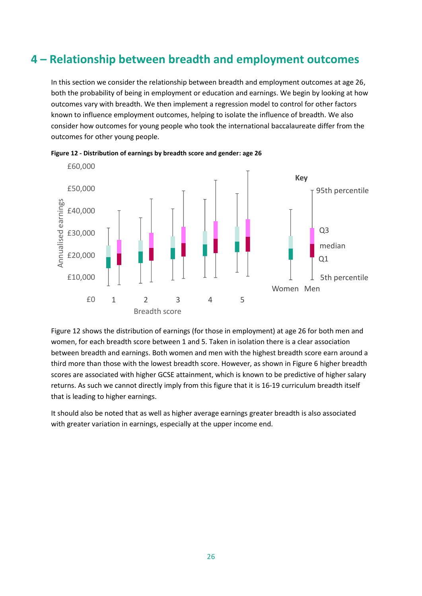## <span id="page-25-0"></span>**4 – Relationship between breadth and employment outcomes**

In this section we consider the relationship between breadth and employment outcomes at age 26, both the probability of being in employment or education and earnings. We begin by looking at how outcomes vary with breadth. We then implement a regression model to control for other factors known to influence employment outcomes, helping to isolate the influence of breadth. We also consider how outcomes for young people who took the international baccalaureate differ from the outcomes for other young people.



<span id="page-25-1"></span>**Figure 12 - Distribution of earnings by breadth score and gender: age 26**

[Figure 12](#page-25-1) shows the distribution of earnings (for those in employment) at age 26 for both men and women, for each breadth score between 1 and 5. Taken in isolation there is a clear association between breadth and earnings. Both women and men with the highest breadth score earn around a third more than those with the lowest breadth score. However, as shown i[n Figure 6](#page-19-0) higher breadth scores are associated with higher GCSE attainment, which is known to be predictive of higher salary returns. As such we cannot directly imply from this figure that it is 16-19 curriculum breadth itself that is leading to higher earnings.

It should also be noted that as well as higher average earnings greater breadth is also associated with greater variation in earnings, especially at the upper income end.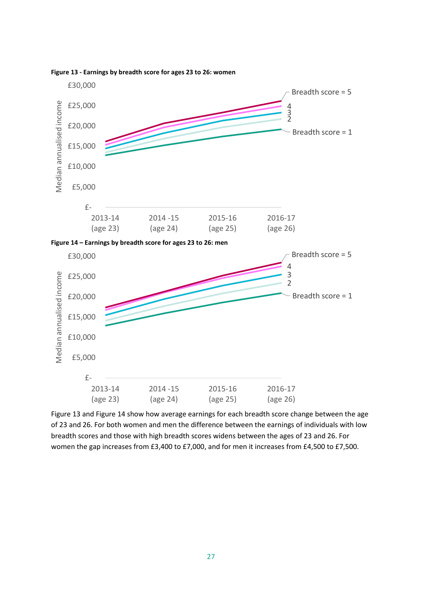<span id="page-26-1"></span>

#### <span id="page-26-0"></span>**Figure 13 - Earnings by breadth score for ages 23 to 26: women**

[Figure 13](#page-26-0) and [Figure](#page-26-1) 14 show how average earnings for each breadth score change between the age of 23 and 26. For both women and men the difference between the earnings of individuals with low breadth scores and those with high breadth scores widens between the ages of 23 and 26. For women the gap increases from £3,400 to £7,000, and for men it increases from £4,500 to £7,500.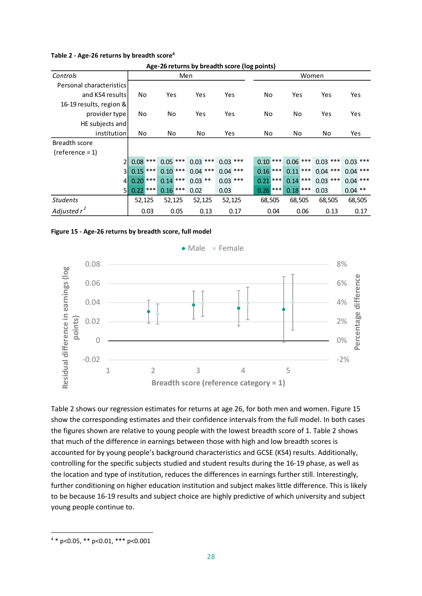#### <span id="page-27-0"></span>**Table 2 - Age-26 returns by breadth score<sup>4</sup>**

|                          | Age-Z6 returns by preadth score (log points) |      |            |        |            |      |            |       |            |        |            |      |            |      |           |      |
|--------------------------|----------------------------------------------|------|------------|--------|------------|------|------------|-------|------------|--------|------------|------|------------|------|-----------|------|
| Controls                 |                                              | Men  |            |        |            |      |            | Women |            |        |            |      |            |      |           |      |
| Personal characteristics |                                              |      |            |        |            |      |            |       |            |        |            |      |            |      |           |      |
| and KS4 results          | No                                           |      | Yes        |        | Yes        |      | Yes        |       | No         |        | Yes        |      | Yes        |      | Yes       |      |
| 16-19 results, region &  |                                              |      |            |        |            |      |            |       |            |        |            |      |            |      |           |      |
| provider type            | No                                           |      | No         |        | Yes        |      | Yes        |       | No         |        | No         |      | Yes        |      | Yes       |      |
| HE subjects and          |                                              |      |            |        |            |      |            |       |            |        |            |      |            |      |           |      |
| institution              | No                                           |      | No         |        | No         |      | Yes        |       | No         |        | No         |      | No         |      | Yes       |      |
| Breadth score            |                                              |      |            |        |            |      |            |       |            |        |            |      |            |      |           |      |
| $(reference = 1)$        |                                              |      |            |        |            |      |            |       |            |        |            |      |            |      |           |      |
| $\overline{2}$           | $0.08$ ***                                   |      | $0.05***$  |        | $0.03$ *** |      | $0.03$ *** |       | $0.10***$  |        | $0.06$ *** |      | $0.03$ *** |      | $0.03***$ |      |
| 3l                       | $0.15$ ***                                   |      | $0.10***$  |        | $0.04$ *** |      | $0.04$ *** |       | $0.16$ *** |        | $0.11***$  |      | $0.04$ *** |      | $0.04***$ |      |
| 4 <sup>1</sup>           | $0.20$ ***                                   |      | $0.14$ *** |        | $0.03$ **  |      | $0.03***$  |       | $0.21$ *** |        | $0.14$ *** |      | $0.03***$  |      | $0.04***$ |      |
| 51                       | $0.22$ ***                                   |      | $0.16$ *** |        | 0.02       |      | 0.03       |       | $0.26$ *** |        | $0.18$ *** |      | 0.03       |      | $0.04$ ** |      |
| <b>Students</b>          | 52,125                                       |      |            | 52,125 | 52,125     |      | 52,125     |       |            | 68,505 | 68,505     |      | 68,505     |      | 68,505    |      |
| Adjusted $r^2$           |                                              | 0.03 |            | 0.05   |            | 0.13 |            | 0.17  |            | 0.04   |            | 0.06 |            | 0.13 |           | 0.17 |

**Age-26 returns by breadth score (log points)**

<span id="page-27-1"></span>



[Table 2](#page-27-0) shows our regression estimates for returns at age 26, for both men and women. [Figure 15](#page-27-1) show the corresponding estimates and their confidence intervals from the full model. In both cases the figures shown are relative to young people with the lowest breadth score of 1. [Table 2](#page-27-0) shows that much of the difference in earnings between those with high and low breadth scores is accounted for by young people's background characteristics and GCSE (KS4) results. Additionally, controlling for the specific subjects studied and student results during the 16-19 phase, as well as the location and type of institution, reduces the differences in earnings further still. Interestingly, further conditioning on higher education institution and subject makes little difference. This is likely to be because 16-19 results and subject choice are highly predictive of which university and subject young people continue to.

<sup>4</sup> \* p<0.05, \*\* p<0.01, \*\*\* p<0.001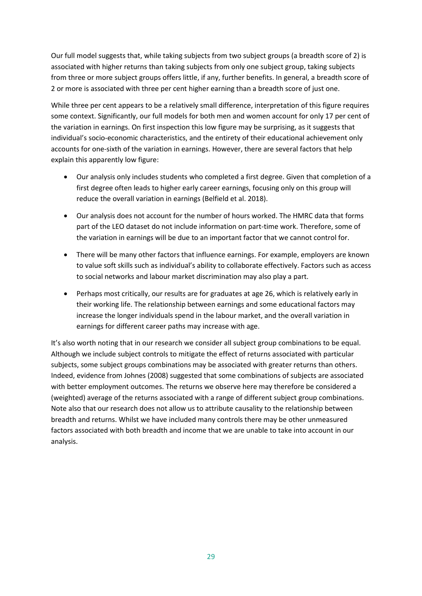Our full model suggests that, while taking subjects from two subject groups (a breadth score of 2) is associated with higher returns than taking subjects from only one subject group, taking subjects from three or more subject groups offers little, if any, further benefits. In general, a breadth score of 2 or more is associated with three per cent higher earning than a breadth score of just one.

While three per cent appears to be a relatively small difference, interpretation of this figure requires some context. Significantly, our full models for both men and women account for only 17 per cent of the variation in earnings. On first inspection this low figure may be surprising, as it suggests that individual's socio-economic characteristics, and the entirety of their educational achievement only accounts for one-sixth of the variation in earnings. However, there are several factors that help explain this apparently low figure:

- Our analysis only includes students who completed a first degree. Given that completion of a first degree often leads to higher early career earnings, focusing only on this group will reduce the overall variation in earnings (Belfield et al. 2018).
- Our analysis does not account for the number of hours worked. The HMRC data that forms part of the LEO dataset do not include information on part-time work. Therefore, some of the variation in earnings will be due to an important factor that we cannot control for.
- There will be many other factors that influence earnings. For example, employers are known to value soft skills such as individual's ability to collaborate effectively. Factors such as access to social networks and labour market discrimination may also play a part.
- Perhaps most critically, our results are for graduates at age 26, which is relatively early in their working life. The relationship between earnings and some educational factors may increase the longer individuals spend in the labour market, and the overall variation in earnings for different career paths may increase with age.

It's also worth noting that in our research we consider all subject group combinations to be equal. Although we include subject controls to mitigate the effect of returns associated with particular subjects, some subject groups combinations may be associated with greater returns than others. Indeed, evidence from Johnes (2008) suggested that some combinations of subjects are associated with better employment outcomes. The returns we observe here may therefore be considered a (weighted) average of the returns associated with a range of different subject group combinations. Note also that our research does not allow us to attribute causality to the relationship between breadth and returns. Whilst we have included many controls there may be other unmeasured factors associated with both breadth and income that we are unable to take into account in our analysis.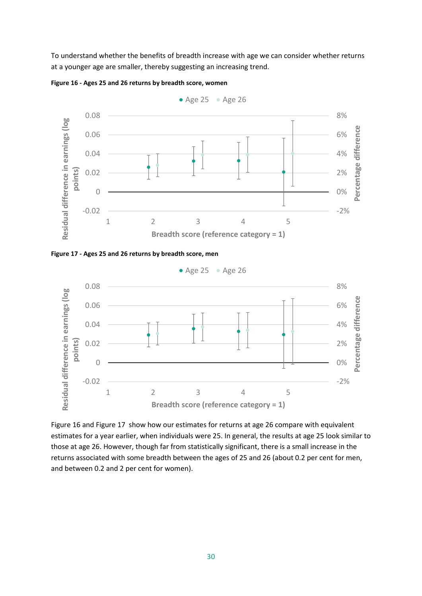To understand whether the benefits of breadth increase with age we can consider whether returns at a younger age are smaller, thereby suggesting an increasing trend.



<span id="page-29-0"></span>**Figure 16 - Ages 25 and 26 returns by breadth score, women**





[Figure 16](#page-29-0) and Figure 17 show how our estimates for returns at age 26 compare with equivalent estimates for a year earlier, when individuals were 25. In general, the results at age 25 look similar to those at age 26. However, though far from statistically significant, there is a small increase in the returns associated with some breadth between the ages of 25 and 26 (about 0.2 per cent for men, and between 0.2 and 2 per cent for women).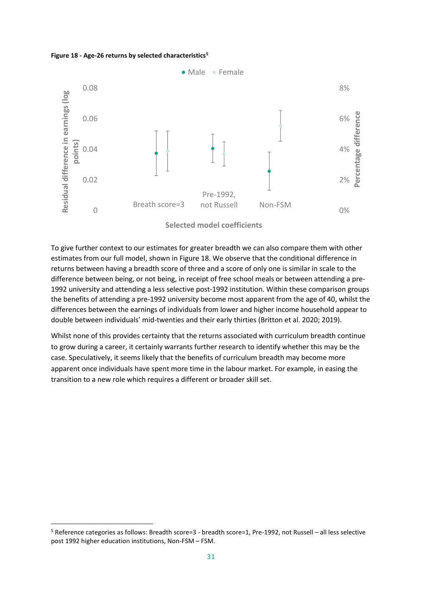#### <span id="page-30-0"></span>**Figure 18 - Age-26 returns by selected characteristics<sup>5</sup>**



To give further context to our estimates for greater breadth we can also compare them with other estimates from our full model, shown in [Figure 18.](#page-30-0) We observe that the conditional difference in returns between having a breadth score of three and a score of only one is similar in scale to the difference between being, or not being, in receipt of free school meals or between attending a pre-1992 university and attending a less selective post-1992 institution. Within these comparison groups the benefits of attending a pre-1992 university become most apparent from the age of 40, whilst the differences between the earnings of individuals from lower and higher income household appear to double between individuals' mid-twenties and their early thirties (Britton et al. 2020; 2019).

Whilst none of this provides certainty that the returns associated with curriculum breadth continue to grow during a career, it certainly warrants further research to identify whether this may be the case. Speculatively, it seems likely that the benefits of curriculum breadth may become more apparent once individuals have spent more time in the labour market. For example, in easing the transition to a new role which requires a different or broader skill set.

<sup>5</sup> Reference categories as follows: Breadth score=3 - breadth score=1, Pre-1992, not Russell – all less selective post 1992 higher education institutions, Non-FSM – FSM.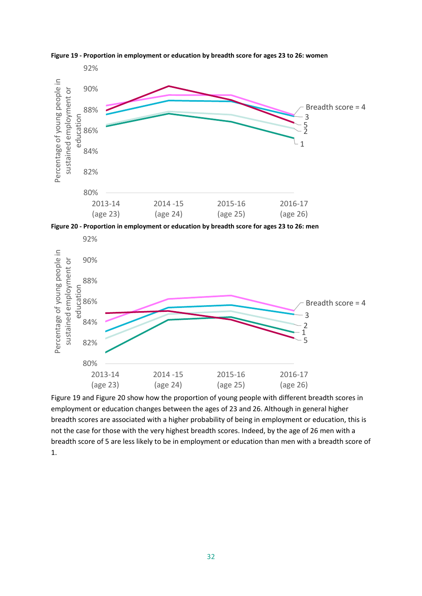

<span id="page-31-0"></span>**Figure 19 - Proportion in employment or education by breadth score for ages 23 to 26: women**

**Figure 20 - Proportion in employment or education by breadth score for ages 23 to 26: men**



[Figure 19](#page-31-0) and Figure 20 show how the proportion of young people with different breadth scores in employment or education changes between the ages of 23 and 26. Although in general higher breadth scores are associated with a higher probability of being in employment or education, this is not the case for those with the very highest breadth scores. Indeed, by the age of 26 men with a breadth score of 5 are less likely to be in employment or education than men with a breadth score of 1.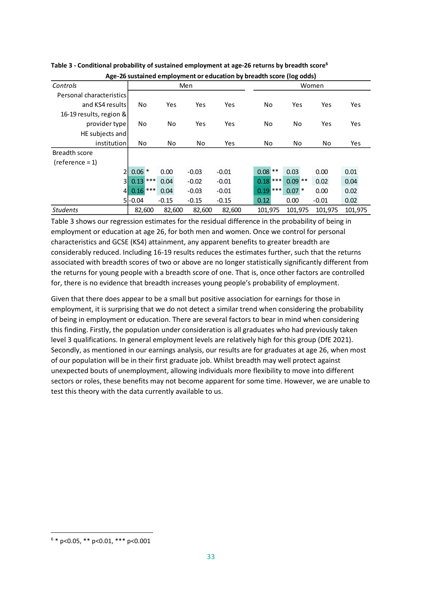|                          |             |         | Age-Zo sustained employment or education by breadth score (log odus) |         |            |           |         |         |  |  |
|--------------------------|-------------|---------|----------------------------------------------------------------------|---------|------------|-----------|---------|---------|--|--|
| Controls                 |             |         | Men                                                                  |         | Women      |           |         |         |  |  |
| Personal characteristics |             |         |                                                                      |         |            |           |         |         |  |  |
| and KS4 results          | No          | Yes     | Yes                                                                  | Yes     | No         | Yes       | Yes     | Yes     |  |  |
| 16-19 results, region &  |             |         |                                                                      |         |            |           |         |         |  |  |
| provider type            | No          | No      | Yes                                                                  | Yes     | No         | No        | Yes     | Yes     |  |  |
| HE subjects and          |             |         |                                                                      |         |            |           |         |         |  |  |
| institution              | No          | No      | No                                                                   | Yes     | No         | No        | No      | Yes     |  |  |
| Breadth score            |             |         |                                                                      |         |            |           |         |         |  |  |
| $(reference = 1)$        |             |         |                                                                      |         |            |           |         |         |  |  |
| $\overline{2}$           | $0.06*$     | 0.00    | $-0.03$                                                              | $-0.01$ | $0.08$ **  | 0.03      | 0.00    | 0.01    |  |  |
| 3 <sup>1</sup>           | ***<br>0.13 | 0.04    | $-0.02$                                                              | $-0.01$ | $0.18$ *** | $0.09$ ** | 0.02    | 0.04    |  |  |
| 4 <sup>1</sup>           | $0.16$ ***  | 0.04    | $-0.03$                                                              | $-0.01$ | $0.19$ *** | $0.07*$   | 0.00    | 0.02    |  |  |
|                          | $5 -0.04$   | $-0.15$ | $-0.15$                                                              | $-0.15$ | 0.12       | 0.00      | $-0.01$ | 0.02    |  |  |
| <b>Students</b>          | 82,600      | 82,600  | 82,600                                                               | 82,600  | 101,975    | 101,975   | 101,975 | 101,975 |  |  |

<span id="page-32-0"></span>**Table 3 - Conditional probability of sustained employment at age-26 returns by breadth score<sup>6</sup> Age-26 sustained employment or education by breadth score (log odds)**

[Table](#page-32-0) 3 shows our regression estimates for the residual difference in the probability of being in employment or education at age 26, for both men and women. Once we control for personal characteristics and GCSE (KS4) attainment, any apparent benefits to greater breadth are considerably reduced. Including 16-19 results reduces the estimates further, such that the returns associated with breadth scores of two or above are no longer statistically significantly different from the returns for young people with a breadth score of one. That is, once other factors are controlled for, there is no evidence that breadth increases young people's probability of employment.

Given that there does appear to be a small but positive association for earnings for those in employment, it is surprising that we do not detect a similar trend when considering the probability of being in employment or education. There are several factors to bear in mind when considering this finding. Firstly, the population under consideration is all graduates who had previously taken level 3 qualifications. In general employment levels are relatively high for this group (DfE 2021). Secondly, as mentioned in our earnings analysis, our results are for graduates at age 26, when most of our population will be in their first graduate job. Whilst breadth may well protect against unexpected bouts of unemployment, allowing individuals more flexibility to move into different sectors or roles, these benefits may not become apparent for some time. However, we are unable to test this theory with the data currently available to us.

 $6 * p < 0.05$ , \*\*  $p < 0.01$ , \*\*\*  $p < 0.001$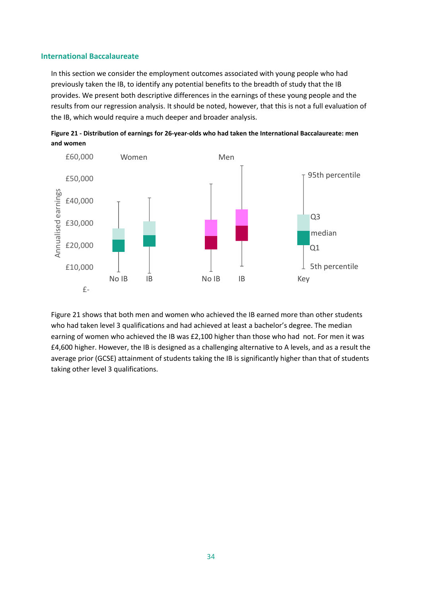#### **International Baccalaureate**

In this section we consider the employment outcomes associated with young people who had previously taken the IB, to identify any potential benefits to the breadth of study that the IB provides. We present both descriptive differences in the earnings of these young people and the results from our regression analysis. It should be noted, however, that this is not a full evaluation of the IB, which would require a much deeper and broader analysis.



<span id="page-33-0"></span>

[Figure 21](#page-33-0) shows that both men and women who achieved the IB earned more than other students who had taken level 3 qualifications and had achieved at least a bachelor's degree. The median earning of women who achieved the IB was £2,100 higher than those who had not. For men it was £4,600 higher. However, the IB is designed as a challenging alternative to A levels, and as a result the average prior (GCSE) attainment of students taking the IB is significantly higher than that of students taking other level 3 qualifications.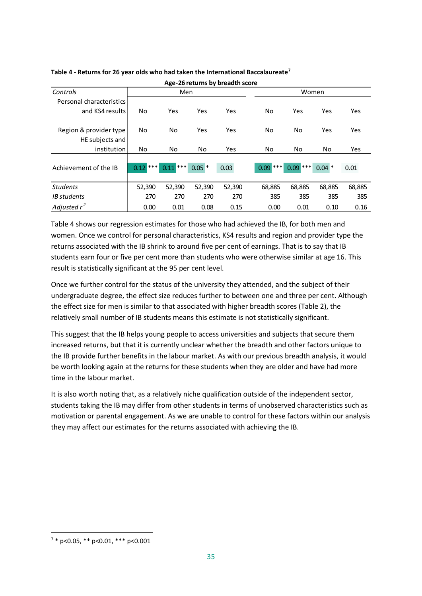|                          | י פי        |            |          |        |             |             |         |        |  |
|--------------------------|-------------|------------|----------|--------|-------------|-------------|---------|--------|--|
| Controls                 |             | Men        |          |        |             | Women       |         |        |  |
| Personal characteristics |             |            |          |        |             |             |         |        |  |
| and KS4 results          | No          | Yes        | Yes      | Yes    | No          | Yes         | Yes     | Yes    |  |
|                          |             |            |          |        |             |             |         |        |  |
| Region & provider type   | No          | No         | Yes      | Yes    | No          | No          | Yes     | Yes    |  |
| HE subjects and          |             |            |          |        |             |             |         |        |  |
| institution              | No          | No         | No       | Yes    | No          | No          | No      | Yes    |  |
|                          |             |            |          |        |             |             |         |        |  |
| Achievement of the IB    | ***<br>0.12 | ***<br>.11 | $0.05$ * | 0.03   | ***<br>0.09 | ***<br>0.09 | $0.04*$ | 0.01   |  |
|                          |             |            |          |        |             |             |         |        |  |
| <b>Students</b>          | 52,390      | 52,390     | 52,390   | 52,390 | 68,885      | 68,885      | 68,885  | 68,885 |  |
| <b>IB</b> students       | 270         | 270        | 270      | 270    | 385         | 385         | 385     | 385    |  |
| Adjusted $r^2$           | 0.00        | 0.01       | 0.08     | 0.15   | 0.00        | 0.01        | 0.10    | 0.16   |  |

#### <span id="page-34-0"></span>**Table 4 - Returns for 26 year olds who had taken the International Baccalaureate<sup>7</sup> Age-26 returns by breadth score**

[Table](#page-34-0) 4 shows our regression estimates for those who had achieved the IB, for both men and women. Once we control for personal characteristics, KS4 results and region and provider type the returns associated with the IB shrink to around five per cent of earnings. That is to say that IB students earn four or five per cent more than students who were otherwise similar at age 16. This result is statistically significant at the 95 per cent level.

Once we further control for the status of the university they attended, and the subject of their undergraduate degree, the effect size reduces further to between one and three per cent. Although the effect size for men is similar to that associated with higher breadth scores [\(Table 2\)](#page-27-0), the relatively small number of IB students means this estimate is not statistically significant.

This suggest that the IB helps young people to access universities and subjects that secure them increased returns, but that it is currently unclear whether the breadth and other factors unique to the IB provide further benefits in the labour market. As with our previous breadth analysis, it would be worth looking again at the returns for these students when they are older and have had more time in the labour market.

It is also worth noting that, as a relatively niche qualification outside of the independent sector, students taking the IB may differ from other students in terms of unobserved characteristics such as motivation or parental engagement. As we are unable to control for these factors within our analysis they may affect our estimates for the returns associated with achieving the IB.

 $7 * p < 0.05$ ,  $** p < 0.01$ ,  $*** p < 0.001$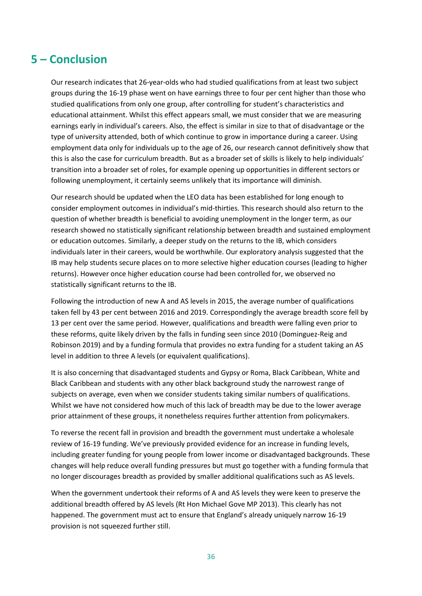### <span id="page-35-0"></span>**5 – Conclusion**

Our research indicates that 26-year-olds who had studied qualifications from at least two subject groups during the 16-19 phase went on have earnings three to four per cent higher than those who studied qualifications from only one group, after controlling for student's characteristics and educational attainment. Whilst this effect appears small, we must consider that we are measuring earnings early in individual's careers. Also, the effect is similar in size to that of disadvantage or the type of university attended, both of which continue to grow in importance during a career. Using employment data only for individuals up to the age of 26, our research cannot definitively show that this is also the case for curriculum breadth. But as a broader set of skills is likely to help individuals' transition into a broader set of roles, for example opening up opportunities in different sectors or following unemployment, it certainly seems unlikely that its importance will diminish.

Our research should be updated when the LEO data has been established for long enough to consider employment outcomes in individual's mid-thirties. This research should also return to the question of whether breadth is beneficial to avoiding unemployment in the longer term, as our research showed no statistically significant relationship between breadth and sustained employment or education outcomes. Similarly, a deeper study on the returns to the IB, which considers individuals later in their careers, would be worthwhile. Our exploratory analysis suggested that the IB may help students secure places on to more selective higher education courses (leading to higher returns). However once higher education course had been controlled for, we observed no statistically significant returns to the IB.

Following the introduction of new A and AS levels in 2015, the average number of qualifications taken fell by 43 per cent between 2016 and 2019. Correspondingly the average breadth score fell by 13 per cent over the same period. However, qualifications and breadth were falling even prior to these reforms, quite likely driven by the falls in funding seen since 2010 (Dominguez-Reig and Robinson 2019) and by a funding formula that provides no extra funding for a student taking an AS level in addition to three A levels (or equivalent qualifications).

It is also concerning that disadvantaged students and Gypsy or Roma, Black Caribbean, White and Black Caribbean and students with any other black background study the narrowest range of subjects on average, even when we consider students taking similar numbers of qualifications. Whilst we have not considered how much of this lack of breadth may be due to the lower average prior attainment of these groups, it nonetheless requires further attention from policymakers.

To reverse the recent fall in provision and breadth the government must undertake a wholesale review of 16-19 funding. We've previously provided evidence for an increase in funding levels, including greater funding for young people from lower income or disadvantaged backgrounds. These changes will help reduce overall funding pressures but must go together with a funding formula that no longer discourages breadth as provided by smaller additional qualifications such as AS levels.

When the government undertook their reforms of A and AS levels they were keen to preserve the additional breadth offered by AS levels (Rt Hon Michael Gove MP 2013). This clearly has not happened. The government must act to ensure that England's already uniquely narrow 16-19 provision is not squeezed further still.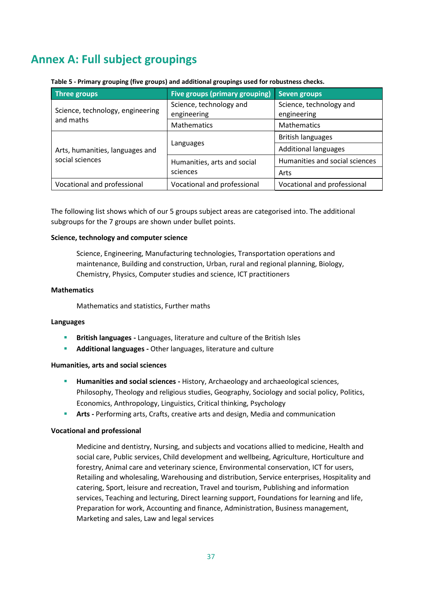# <span id="page-36-0"></span>**Annex A: Full subject groupings**

| Three groups                                       | Five groups (primary grouping)         | <b>Seven groups</b>                    |
|----------------------------------------------------|----------------------------------------|----------------------------------------|
| Science, technology, engineering                   | Science, technology and<br>engineering | Science, technology and<br>engineering |
| and maths                                          | <b>Mathematics</b>                     | <b>Mathematics</b>                     |
|                                                    |                                        | <b>British languages</b>               |
| Arts, humanities, languages and<br>social sciences | Languages                              | <b>Additional languages</b>            |
|                                                    | Humanities, arts and social            | Humanities and social sciences         |
|                                                    | sciences                               | Arts                                   |
| Vocational and professional                        | Vocational and professional            | Vocational and professional            |

#### **Table 5 - Primary grouping (five groups) and additional groupings used for robustness checks.**

The following list shows which of our 5 groups subject areas are categorised into. The additional subgroups for the 7 groups are shown under bullet points.

#### **Science, technology and computer science**

Science, Engineering, Manufacturing technologies, Transportation operations and maintenance, Building and construction, Urban, rural and regional planning, Biology, Chemistry, Physics, Computer studies and science, ICT practitioners

#### **Mathematics**

Mathematics and statistics, Further maths

#### **Languages**

- **British languages -** Languages, literature and culture of the British Isles
- **Additional languages -** Other languages, literature and culture

#### **Humanities, arts and social sciences**

- **Humanities and social sciences -** History, Archaeology and archaeological sciences, Philosophy, Theology and religious studies, Geography, Sociology and social policy, Politics, Economics, Anthropology, Linguistics, Critical thinking, Psychology
- **E** Arts Performing arts, Crafts, creative arts and design, Media and communication

#### **Vocational and professional**

Medicine and dentistry, Nursing, and subjects and vocations allied to medicine, Health and social care, Public services, Child development and wellbeing, Agriculture, Horticulture and forestry, Animal care and veterinary science, Environmental conservation, ICT for users, Retailing and wholesaling, Warehousing and distribution, Service enterprises, Hospitality and catering, Sport, leisure and recreation, Travel and tourism, Publishing and information services, Teaching and lecturing, Direct learning support, Foundations for learning and life, Preparation for work, Accounting and finance, Administration, Business management, Marketing and sales, Law and legal services